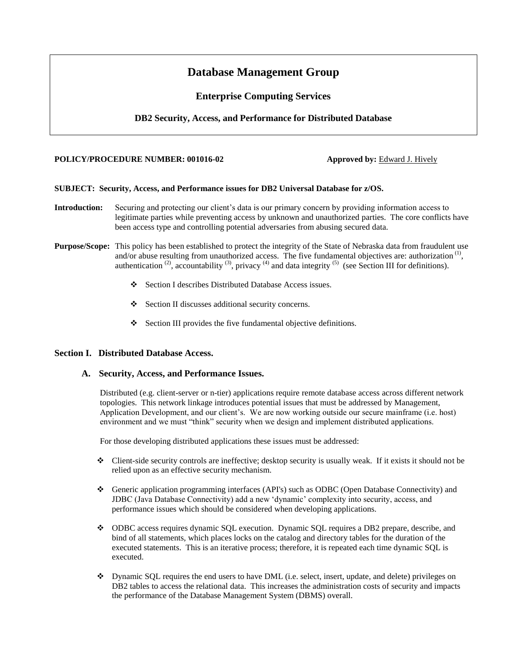# **Database Management Group**

## **Enterprise Computing Services**

## **DB2 Security, Access, and Performance for Distributed Database**

### **POLICY/PROCEDURE NUMBER: 001016-02 Approved by: Edward J. Hively**

#### **SUBJECT: Security, Access, and Performance issues for DB2 Universal Database for z/OS.**

- **Introduction:** Securing and protecting our client's data is our primary concern by providing information access to legitimate parties while preventing access by unknown and unauthorized parties. The core conflicts have been access type and controlling potential adversaries from abusing secured data.
- **Purpose/Scope:** This policy has been established to protect the integrity of the State of Nebraska data from fraudulent use and/or abuse resulting from unauthorized access. The five fundamental objectives are: authorization<sup>(1)</sup>, authentication<sup>(2)</sup>, accountability<sup>(3)</sup>, privacy<sup>(4)</sup> and data integrity<sup>(5)</sup> (see Section III for definitions).
	- Section I describes Distributed Database Access issues.
	- Section II discusses additional security concerns.
	- Section III provides the five fundamental objective definitions.

## **Section I. Distributed Database Access.**

#### **A. Security, Access, and Performance Issues.**

Distributed (e.g. client-server or n-tier) applications require remote database access across different network topologies. This network linkage introduces potential issues that must be addressed by Management, Application Development, and our client's. We are now working outside our secure mainframe (i.e. host) environment and we must "think" security when we design and implement distributed applications.

For those developing distributed applications these issues must be addressed:

- $\bullet$  Client-side security controls are ineffective; desktop security is usually weak. If it exists it should not be relied upon as an effective security mechanism.
- Generic application programming interfaces (API's) such as ODBC (Open Database Connectivity) and JDBC (Java Database Connectivity) add a new 'dynamic' complexity into security, access, and performance issues which should be considered when developing applications.
- ODBC access requires dynamic SQL execution. Dynamic SQL requires a DB2 prepare, describe, and bind of all statements, which places locks on the catalog and directory tables for the duration of the executed statements. This is an iterative process; therefore, it is repeated each time dynamic SQL is executed.
- Dynamic SQL requires the end users to have DML (i.e. select, insert, update, and delete) privileges on DB2 tables to access the relational data. This increases the administration costs of security and impacts the performance of the Database Management System (DBMS) overall.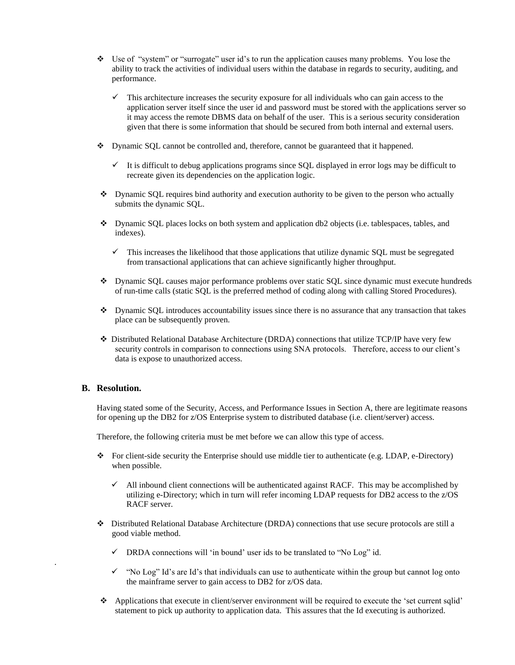- Use of "system" or "surrogate" user id's to run the application causes many problems. You lose the ability to track the activities of individual users within the database in regards to security, auditing, and performance.
	- This architecture increases the security exposure for all individuals who can gain access to the application server itself since the user id and password must be stored with the applications server so it may access the remote DBMS data on behalf of the user. This is a serious security consideration given that there is some information that should be secured from both internal and external users.
- $\bullet$  Dynamic SQL cannot be controlled and, therefore, cannot be guaranteed that it happened.
	- $\checkmark$  It is difficult to debug applications programs since SQL displayed in error logs may be difficult to recreate given its dependencies on the application logic.
- Dynamic SQL requires bind authority and execution authority to be given to the person who actually submits the dynamic SQL.
- Dynamic SQL places locks on both system and application db2 objects (i.e. tablespaces, tables, and indexes).
	- $\checkmark$  This increases the likelihood that those applications that utilize dynamic SQL must be segregated from transactional applications that can achieve significantly higher throughput.
- Dynamic SQL causes major performance problems over static SQL since dynamic must execute hundreds of run-time calls (static SQL is the preferred method of coding along with calling Stored Procedures).
- $\bullet$  Dynamic SQL introduces accountability issues since there is no assurance that any transaction that takes place can be subsequently proven.
- Distributed Relational Database Architecture (DRDA) connections that utilize TCP/IP have very few security controls in comparison to connections using SNA protocols. Therefore, access to our client's data is expose to unauthorized access.

## **B. Resolution.**

.

Having stated some of the Security, Access, and Performance Issues in Section A, there are legitimate reasons for opening up the DB2 for z/OS Enterprise system to distributed database (i.e. client/server) access.

Therefore, the following criteria must be met before we can allow this type of access.

- For client-side security the Enterprise should use middle tier to authenticate (e.g. LDAP, e-Directory) when possible.
	- $\checkmark$  All inbound client connections will be authenticated against RACF. This may be accomplished by utilizing e-Directory; which in turn will refer incoming LDAP requests for DB2 access to the z/OS RACF server.
- Distributed Relational Database Architecture (DRDA) connections that use secure protocols are still a good viable method.
	- $\checkmark$  DRDA connections will 'in bound' user ids to be translated to "No Log" id.
	- $\checkmark$  "No Log" Id's are Id's that individuals can use to authenticate within the group but cannot log onto the mainframe server to gain access to DB2 for z/OS data.
- Applications that execute in client/server environment will be required to execute the 'set current sqlid' statement to pick up authority to application data. This assures that the Id executing is authorized.